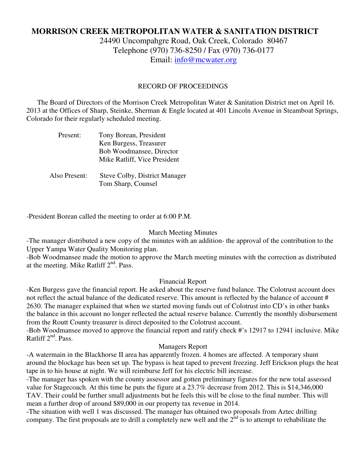# **MORRISON CREEK METROPOLITAN WATER & SANITATION DISTRICT**

24490 Uncompahgre Road, Oak Creek, Colorado 80467 Telephone (970) 736-8250 / Fax (970) 736-0177 Email: info@mcwater.org

#### RECORD OF PROCEEDINGS

 The Board of Directors of the Morrison Creek Metropolitan Water & Sanitation District met on April 16. 2013 at the Offices of Sharp, Steinke, Sherman & Engle located at 401 Lincoln Avenue in Steamboat Springs, Colorado for their regularly scheduled meeting.

| Present:      | Tony Borean, President        |
|---------------|-------------------------------|
|               | Ken Burgess, Treasurer        |
|               | Bob Woodmansee, Director      |
|               | Mike Ratliff, Vice President  |
|               |                               |
| Also Present: | Steve Colby, District Manager |
|               | Tom Sharp, Counsel            |

-President Borean called the meeting to order at 6:00 P.M.

#### March Meeting Minutes

-The manager distributed a new copy of the minutes with an addition- the approval of the contribution to the Upper Yampa Water Quality Monitoring plan.

-Bob Woodmansee made the motion to approve the March meeting minutes with the correction as distributed at the meeting. Mike Ratliff  $2<sup>nd</sup>$ . Pass.

## Financial Report

-Ken Burgess gave the financial report. He asked about the reserve fund balance. The Colotrust account does not reflect the actual balance of the dedicated reserve. This amount is reflected by the balance of account # 2630. The manager explained that when we started moving funds out of Colotrust into CD's in other banks the balance in this account no longer reflected the actual reserve balance. Currently the monthly disbursement from the Routt County treasurer is direct deposited to the Colotrust account.

-Bob Woodmansee moved to approve the financial report and ratify check #'s 12917 to 12941 inclusive. Mike Ratliff  $2<sup>nd</sup>$ . Pass.

## Managers Report

-A watermain in the Blackhorse II area has apparently frozen. 4 homes are affected. A temporary shunt around the blockage has been set up. The bypass is heat taped to prevent freezing. Jeff Erickson plugs the heat tape in to his house at night. We will reimburse Jeff for his electric bill increase.

-The manager has spoken with the county assessor and gotten preliminary figures for the new total assessed value for Stagecoach. At this time he puts the figure at a 23.7% decrease from 2012. This is \$14,346,000 TAV. Their could be further small adjustments but he feels this will be close to the final number. This will mean a further drop of around \$89,000 in our property tax revenue in 2014.

-The situation with well 1 was discussed. The manager has obtained two proposals from Aztec drilling company. The first proposals are to drill a completely new well and the  $2<sup>nd</sup>$  is to attempt to rehabilitate the